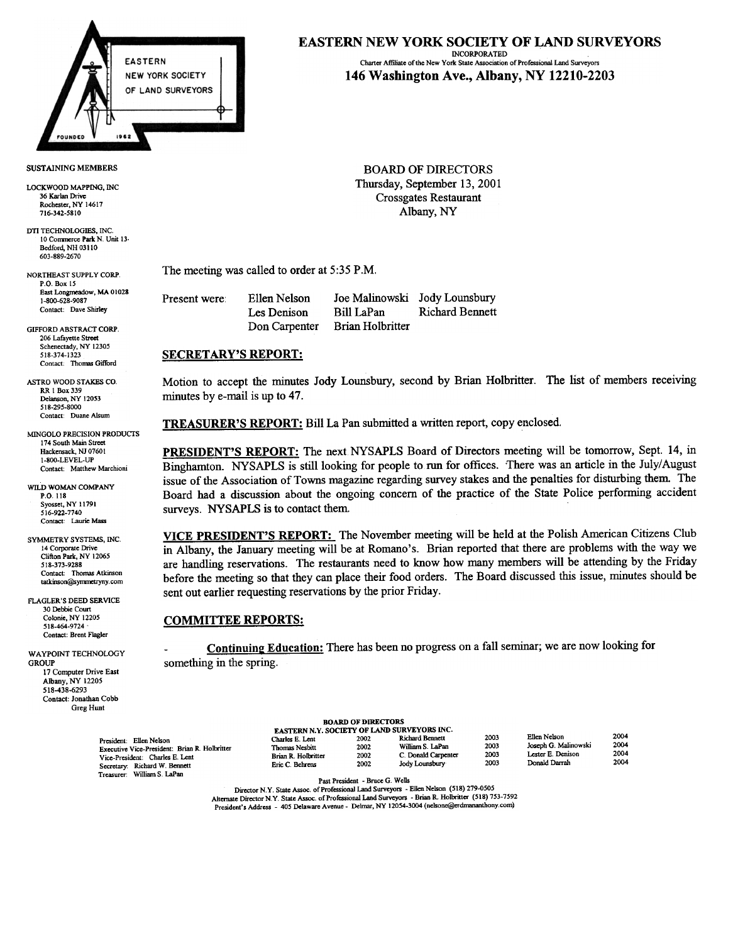

LOCKWOOD MAPPING, INC. 36 Karlan Drive Rochester, NY 14617 716-342-5810

DTI TECHNOLOGIES, INC. 10 Commerce Park N. Unit 13-Bedford, NH 03110 603-889-2670

PO Box 15 East Longmeadow, MA 01028 1-800-628-9087 Contact: Dave Shirley

GIFFORD ABSTRACT CORP 206 Lafayette Street Schenectady, NY 12305 518-374-1323 Contact: Thomas Gifford

ASTRO WOOD STAKES CO RR 1 Box 339 Delanson, NY 12053 518-295-8000 Contact: Duane Alsum

MINGOLO PRECISION PRODUCTS 174 South Main Street Hackensack, NJ 0760 1 1-800-LEVEL-UP Contact: Matthew Marchioni

WILD WOMAN COMPANY P.O. 118 Syosset, NY 11791 516-922-7740 Contact: Laurie Mass

SYMMETRY SYSTEMS, INC 14 Corporate Drive Clifton Park, NY 12065 518-373-9288 Contact: Thomas Atkinson tatkinson@symmetryny.com

FLAGLER'S DEED SERVICE 30 Debbie Cour Colonie, NY 12205 518-464-9724 Contact: Brent Flagler

WAYPOINT TECHNOLOGY **GROUP** 17 Computer Drive East Albany, NY 12205 518438-6293 Contact: Jonathan Cobb Greg Hunt

## EASTERN NEW YORK SOCIETY OF LAND SURVEYORS

INCORPORATED Charter Affiliate of the New York Slate Association of Profcssional Land Surveyors 146 Washington Ave., Albany, NY 12210-2203

SUSTAINING MEMBERS BOARD OF DIRECTORS Thursday, September 13, 2001 Crossgates Restaurant Albany, NY

NORTHEAST SUPPLY CORP. The meeting was called to order at  $5:35$  P.M.

| Present were: | Ellen Nelson  |                  | Joe Malinowski Jody Lounsbury |
|---------------|---------------|------------------|-------------------------------|
|               | Les Denison   | Bill LaPan       | <b>Richard Bennett</b>        |
|               | Don Carpenter | Brian Holbritter |                               |

## SECRETARY'S REPORT:

Motion to accept the minutes Jody Lounsbury, second by Brian Holbritter. The list of members receiving minutes by e-mail is up to 47.

TREASURER'S REPORT: Bill La Pan submitted a written report, copy enclosed.

PRESIDENT'S REPORT: The next NYSAPLS Board of Directors meeting will be tomorrow, Sept. 14, in Binghamton. NYSAPLS is still looking for people to run for offices. There was an article in the July/August issue of the Association of Towns magazine regarding survey stakes and the penalties for disturbing them. The Board had a discussion about the ongoing concern of the practice of the State Police performing accident surveys. NYSAPLS is to contact them.

VICE PRESIDENT'S REPORT: The November meeting will be held at the Polish American Citizens Club in Albany, the January meeting will be at Romano's. Brian reported that there are problems with the way we are handling reservations. The restaurants need to know how many members will be attending by the Friday before the meeting so that they can place their food orders. The Board discussed this issue, minutes should be sent out earlier requesting reservations by the prior Friday.

## COMMITTEE REPORTS:

Continuing Education: There has been no progress on a fall seminar; we are now looking for something in the spring.

|                                                                                                                                                                             |                                                                             |                              | EASTERN N.Y. SOCIETY OF LAND SURVEYORS INC.                                  |                              |                                                                            |
|-----------------------------------------------------------------------------------------------------------------------------------------------------------------------------|-----------------------------------------------------------------------------|------------------------------|------------------------------------------------------------------------------|------------------------------|----------------------------------------------------------------------------|
| President: Ellen Nelson<br>Executive Vice-President: Brian R. Holbritter<br>Vice-President: Charles E. Lent<br>Secretary: Richard W. Bennett<br>Treasurer: William S. LaPan | Charles E. Lent<br>Thomas Nesbitt<br>Brian R. Holbritter<br>Eric C. Behrens | 2002<br>2002<br>2002<br>2002 | Richard Bennett<br>William S. LaPan<br>C. Donald Carpenter<br>Jody Lounsbury | 2003<br>2003<br>2003<br>2003 | Ellen Nelson<br>Joseph G. Malinowski<br>Lester E. Denison<br>Donald Darrah |
|                                                                                                                                                                             |                                                                             |                              |                                                                              |                              |                                                                            |

BOARD OF DIRECTORS

Director N.Y. State Assoc. of Professional Land Surveyors - Ellen Nelson (518) 279-0505 Alternate Director N.Y. State Assoc. of Professional Land Surveyors - Brian R. Holbritter (518) 753-7592 President's Address - 405 Delaware Avenue - Delmar, NY 12054-3004 (nelsone@erdmananthony.com)